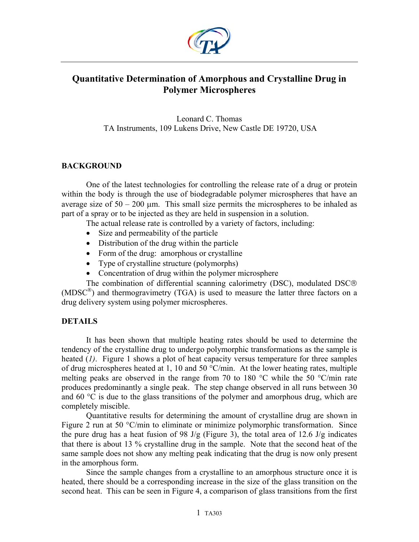

# **Quantitative Determination of Amorphous and Crystalline Drug in Polymer Microspheres**

Leonard C. Thomas TA Instruments, 109 Lukens Drive, New Castle DE 19720, USA

### **BACKGROUND**

One of the latest technologies for controlling the release rate of a drug or protein within the body is through the use of biodegradable polymer microspheres that have an average size of  $50 - 200$  µm. This small size permits the microspheres to be inhaled as part of a spray or to be injected as they are held in suspension in a solution.

The actual release rate is controlled by a variety of factors, including:

- Size and permeability of the particle
- Distribution of the drug within the particle
- Form of the drug: amorphous or crystalline
- Type of crystalline structure (polymorphs)
- Concentration of drug within the polymer microsphere

The combination of differential scanning calorimetry (DSC), modulated DSC (MDSC®) and thermogravimetry (TGA) is used to measure the latter three factors on a drug delivery system using polymer microspheres.

### **DETAILS**

It has been shown that multiple heating rates should be used to determine the tendency of the crystalline drug to undergo polymorphic transformations as the sample is heated (*1)*. Figure 1 shows a plot of heat capacity versus temperature for three samples of drug microspheres heated at 1, 10 and 50 °C/min. At the lower heating rates, multiple melting peaks are observed in the range from 70 to 180 °C while the 50 °C/min rate produces predominantly a single peak. The step change observed in all runs between 30 and 60  $\degree$ C is due to the glass transitions of the polymer and amorphous drug, which are completely miscible.

Quantitative results for determining the amount of crystalline drug are shown in Figure 2 run at 50 °C/min to eliminate or minimize polymorphic transformation. Since the pure drug has a heat fusion of 98 J/g (Figure 3), the total area of 12.6 J/g indicates that there is about 13 % crystalline drug in the sample. Note that the second heat of the same sample does not show any melting peak indicating that the drug is now only present in the amorphous form.

Since the sample changes from a crystalline to an amorphous structure once it is heated, there should be a corresponding increase in the size of the glass transition on the second heat. This can be seen in Figure 4, a comparison of glass transitions from the first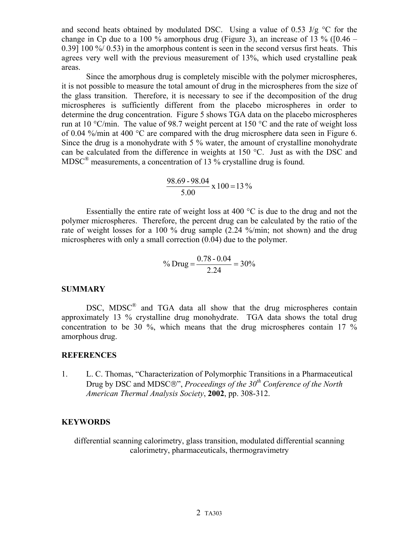and second heats obtained by modulated DSC. Using a value of 0.53 J/g  $\degree$ C for the change in Cp due to a 100 % amorphous drug (Figure 3), an increase of 13 % ( $[0.46 -$ 0.39] 100 %/ 0.53) in the amorphous content is seen in the second versus first heats. This agrees very well with the previous measurement of 13%, which used crystalline peak areas.

Since the amorphous drug is completely miscible with the polymer microspheres, it is not possible to measure the total amount of drug in the microspheres from the size of the glass transition. Therefore, it is necessary to see if the decomposition of the drug microspheres is sufficiently different from the placebo microspheres in order to determine the drug concentration. Figure 5 shows TGA data on the placebo microspheres run at 10  $\degree$ C/min. The value of 98.7 weight percent at 150  $\degree$ C and the rate of weight loss of 0.04 %/min at 400 °C are compared with the drug microsphere data seen in Figure 6. Since the drug is a monohydrate with 5 % water, the amount of crystalline monohydrate can be calculated from the difference in weights at 150 °C. Just as with the DSC and  $MDSC^{\circledR}$  measurements, a concentration of 13 % crystalline drug is found.

$$
\frac{98.69 - 98.04}{5.00} \times 100 = 13\%
$$

Essentially the entire rate of weight loss at 400  $^{\circ}$ C is due to the drug and not the polymer microspheres. Therefore, the percent drug can be calculated by the ratio of the rate of weight losses for a 100 % drug sample (2.24 %/min; not shown) and the drug microspheres with only a small correction (0.04) due to the polymer.

% Drug = 
$$
\frac{0.78 - 0.04}{2.24} = 30\%
$$

#### **SUMMARY**

DSC, MDSC<sup>®</sup> and TGA data all show that the drug microspheres contain approximately 13 % crystalline drug monohydrate. TGA data shows the total drug concentration to be 30 %, which means that the drug microspheres contain 17 % amorphous drug.

#### **REFERENCES**

1. L. C. Thomas, "Characterization of Polymorphic Transitions in a Pharmaceutical Drug by DSC and MDSC®", *Proceedings of the 30<sup>th</sup> Conference of the North American Thermal Analysis Society*, **2002**, pp. 308-312.

### **KEYWORDS**

differential scanning calorimetry, glass transition, modulated differential scanning calorimetry, pharmaceuticals, thermogravimetry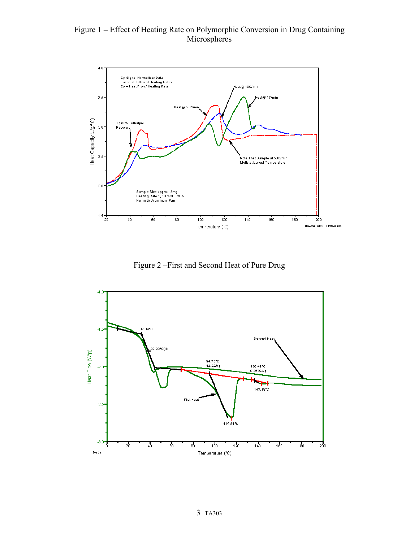## Figure 1 **–** Effect of Heating Rate on Polymorphic Conversion in Drug Containing Microspheres



Figure 2 –First and Second Heat of Pure Drug

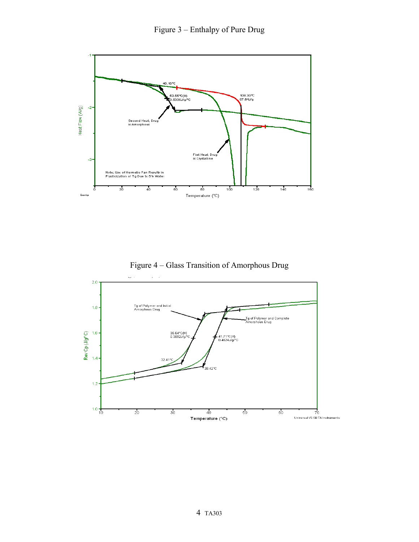

Figure 4 – Glass Transition of Amorphous Drug

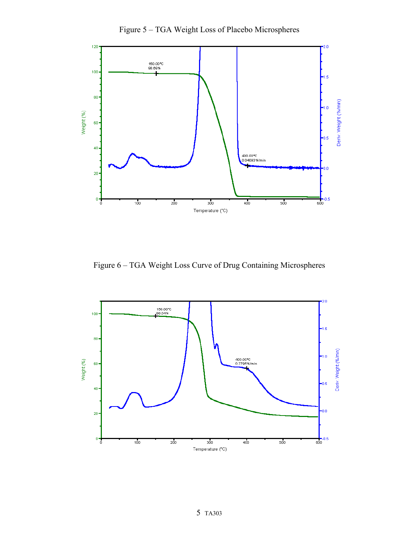

Figure 5 – TGA Weight Loss of Placebo Microspheres

Figure 6 – TGA Weight Loss Curve of Drug Containing Microspheres